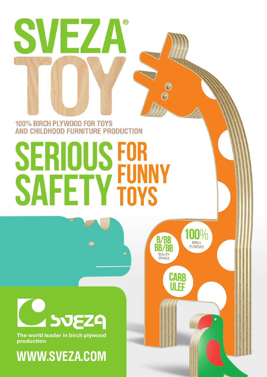

# 100% BIRCH PLYWOOD FOR TOYS AND CHILDHOOD FURNITURE PRODUCTION

# **SERIOUS FOR<br>SAFETY FUNN**

100%

**BIRCH** 

**PLYWOOD** 

**B/BB** 

**BB/BB** 

QUALITY

**CARB** ULEF



**The world leader in birch plywood production**

**WWW.SVEZA.COM**